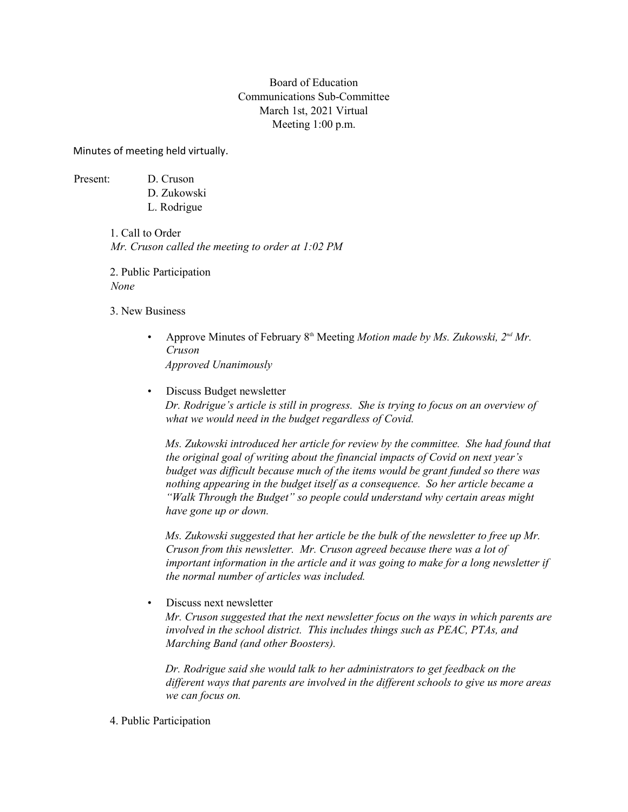# Board of Education Communications Sub-Committee March 1st, 2021 Virtual Meeting 1:00 p.m.

Minutes of meeting held virtually.

Present: D. Cruson D. Zukowski L. Rodrigue

> 1. Call to Order *Mr. Cruson called the meeting to order at 1:02 PM*

2. Public Participation *None*

- 3. New Business
	- Approve Minutes of February 8th Meeting *Motion made by Ms. Zukowski, 2nd Mr. Cruson Approved Unanimously*
	- Discuss Budget newsletter *Dr. Rodrigue's article is still in progress. She is trying to focus on an overview of what we would need in the budget regardless of Covid.*

*Ms. Zukowski introduced her article for review by the committee. She had found that the original goal of writing about the financial impacts of Covid on next year's budget was difficult because much of the items would be grant funded so there was nothing appearing in the budget itself as a consequence. So her article became a "Walk Through the Budget" so people could understand why certain areas might have gone up or down.* 

*Ms. Zukowski suggested that her article be the bulk of the newsletter to free up Mr. Cruson from this newsletter. Mr. Cruson agreed because there was a lot of important information in the article and it was going to make for a long newsletter if the normal number of articles was included.*

• Discuss next newsletter

*Mr. Cruson suggested that the next newsletter focus on the ways in which parents are involved in the school district. This includes things such as PEAC, PTAs, and Marching Band (and other Boosters).*

*Dr. Rodrigue said she would talk to her administrators to get feedback on the different ways that parents are involved in the different schools to give us more areas we can focus on.*

4. Public Participation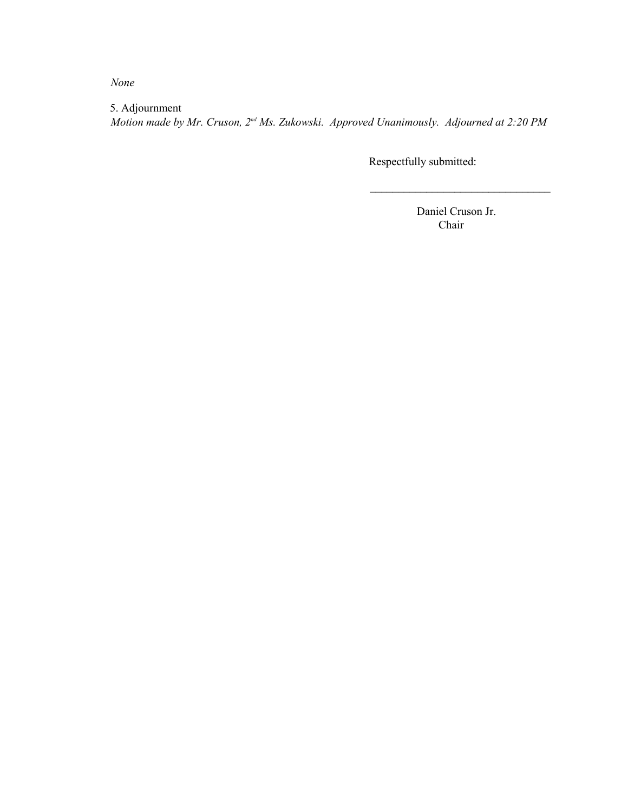*None*

5. Adjournment *Motion made by Mr. Cruson, 2nd Ms. Zukowski. Approved Unanimously. Adjourned at 2:20 PM*

Respectfully submitted:

 Daniel Cruson Jr. Chair

 $\mathcal{L}_\text{max}$  , where  $\mathcal{L}_\text{max}$  , we have the set of the set of the set of the set of the set of the set of the set of the set of the set of the set of the set of the set of the set of the set of the set of the set of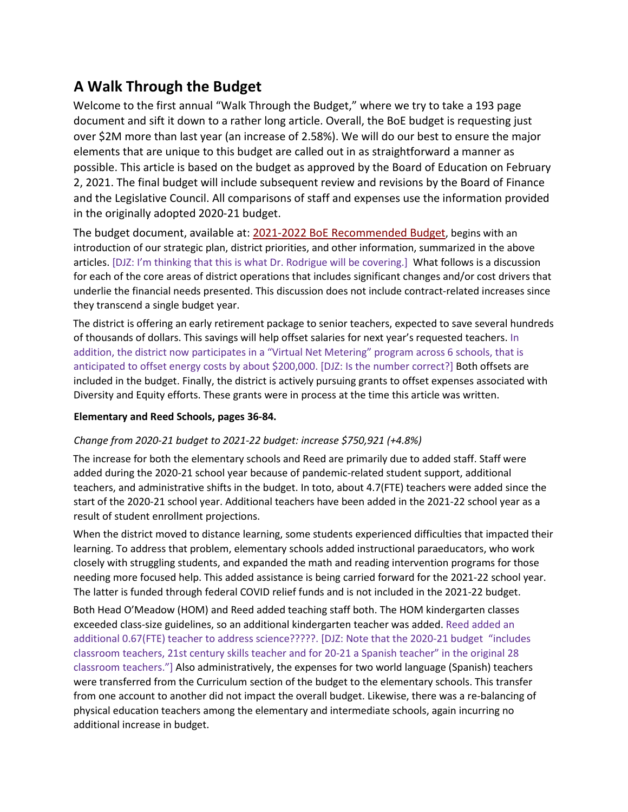# **A Walk Through the Budget**

Welcome to the first annual "Walk Through the Budget," where we try to take a 193 page document and sift it down to a rather long article. Overall, the BoE budget is requesting just over \$2M more than last year (an increase of 2.58%). We will do our best to ensure the major elements that are unique to this budget are called out in as straightforward a manner as possible. This article is based on the budget as approved by the Board of Education on February 2, 2021. The final budget will include subsequent review and revisions by the Board of Finance and the Legislative Council. All comparisons of staff and expenses use the information provided in the originally adopted 2020-21 budget.

The budget document, available at: [2021-2022 BoE Recommended Budget,](https://www.newtown.k12.ct.us/_theme/files/Board%20of%20Education/BOE%20Budgets/2021-2022%20Budgets/BOE%20%20Budget%20-%20Final.pdf) begins with an introduction of our strategic plan, district priorities, and other information, summarized in the above articles. [DJZ: I'm thinking that this is what Dr. Rodrigue will be covering.] What follows is a discussion for each of the core areas of district operations that includes significant changes and/or cost drivers that underlie the financial needs presented. This discussion does not include contract-related increases since they transcend a single budget year.

The district is offering an early retirement package to senior teachers, expected to save several hundreds of thousands of dollars. This savings will help offset salaries for next year's requested teachers. In addition, the district now participates in a "Virtual Net Metering" program across 6 schools, that is anticipated to offset energy costs by about \$200,000. [DJZ: Is the number correct?] Both offsets are included in the budget. Finally, the district is actively pursuing grants to offset expenses associated with Diversity and Equity efforts. These grants were in process at the time this article was written.

# **Elementary and Reed Schools, pages 36-84.**

# *Change from 2020-21 budget to 2021-22 budget: increase \$750,921 (+4.8%)*

The increase for both the elementary schools and Reed are primarily due to added staff. Staff were added during the 2020-21 school year because of pandemic-related student support, additional teachers, and administrative shifts in the budget. In toto, about 4.7(FTE) teachers were added since the start of the 2020-21 school year. Additional teachers have been added in the 2021-22 school year as a result of student enrollment projections.

When the district moved to distance learning, some students experienced difficulties that impacted their learning. To address that problem, elementary schools added instructional paraeducators, who work closely with struggling students, and expanded the math and reading intervention programs for those needing more focused help. This added assistance is being carried forward for the 2021-22 school year. The latter is funded through federal COVID relief funds and is not included in the 2021-22 budget.

Both Head O'Meadow (HOM) and Reed added teaching staff both. The HOM kindergarten classes exceeded class-size guidelines, so an additional kindergarten teacher was added. Reed added an additional 0.67(FTE) teacher to address science?????. [DJZ: Note that the 2020-21 budget "includes classroom teachers, 21st century skills teacher and for 20-21 a Spanish teacher" in the original 28 classroom teachers."] Also administratively, the expenses for two world language (Spanish) teachers were transferred from the Curriculum section of the budget to the elementary schools. This transfer from one account to another did not impact the overall budget. Likewise, there was a re-balancing of physical education teachers among the elementary and intermediate schools, again incurring no additional increase in budget.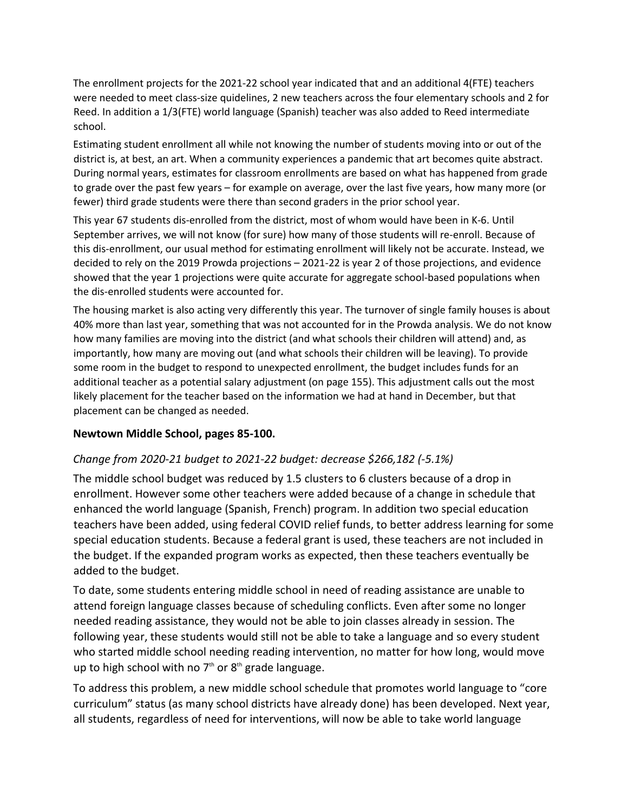The enrollment projects for the 2021-22 school year indicated that and an additional 4(FTE) teachers were needed to meet class-size quidelines, 2 new teachers across the four elementary schools and 2 for Reed. In addition a 1/3(FTE) world language (Spanish) teacher was also added to Reed intermediate school.

Estimating student enrollment all while not knowing the number of students moving into or out of the district is, at best, an art. When a community experiences a pandemic that art becomes quite abstract. During normal years, estimates for classroom enrollments are based on what has happened from grade to grade over the past few years – for example on average, over the last five years, how many more (or fewer) third grade students were there than second graders in the prior school year.

This year 67 students dis-enrolled from the district, most of whom would have been in K-6. Until September arrives, we will not know (for sure) how many of those students will re-enroll. Because of this dis-enrollment, our usual method for estimating enrollment will likely not be accurate. Instead, we decided to rely on the 2019 Prowda projections – 2021-22 is year 2 of those projections, and evidence showed that the year 1 projections were quite accurate for aggregate school-based populations when the dis-enrolled students were accounted for.

The housing market is also acting very differently this year. The turnover of single family houses is about 40% more than last year, something that was not accounted for in the Prowda analysis. We do not know how many families are moving into the district (and what schools their children will attend) and, as importantly, how many are moving out (and what schools their children will be leaving). To provide some room in the budget to respond to unexpected enrollment, the budget includes funds for an additional teacher as a potential salary adjustment (on page 155). This adjustment calls out the most likely placement for the teacher based on the information we had at hand in December, but that placement can be changed as needed.

# **Newtown Middle School, pages 85-100.**

# *Change from 2020-21 budget to 2021-22 budget: decrease \$266,182 (-5.1%)*

The middle school budget was reduced by 1.5 clusters to 6 clusters because of a drop in enrollment. However some other teachers were added because of a change in schedule that enhanced the world language (Spanish, French) program. In addition two special education teachers have been added, using federal COVID relief funds, to better address learning for some special education students. Because a federal grant is used, these teachers are not included in the budget. If the expanded program works as expected, then these teachers eventually be added to the budget.

To date, some students entering middle school in need of reading assistance are unable to attend foreign language classes because of scheduling conflicts. Even after some no longer needed reading assistance, they would not be able to join classes already in session. The following year, these students would still not be able to take a language and so every student who started middle school needing reading intervention, no matter for how long, would move up to high school with no  $7<sup>th</sup>$  or  $8<sup>th</sup>$  grade language.

To address this problem, a new middle school schedule that promotes world language to "core curriculum" status (as many school districts have already done) has been developed. Next year, all students, regardless of need for interventions, will now be able to take world language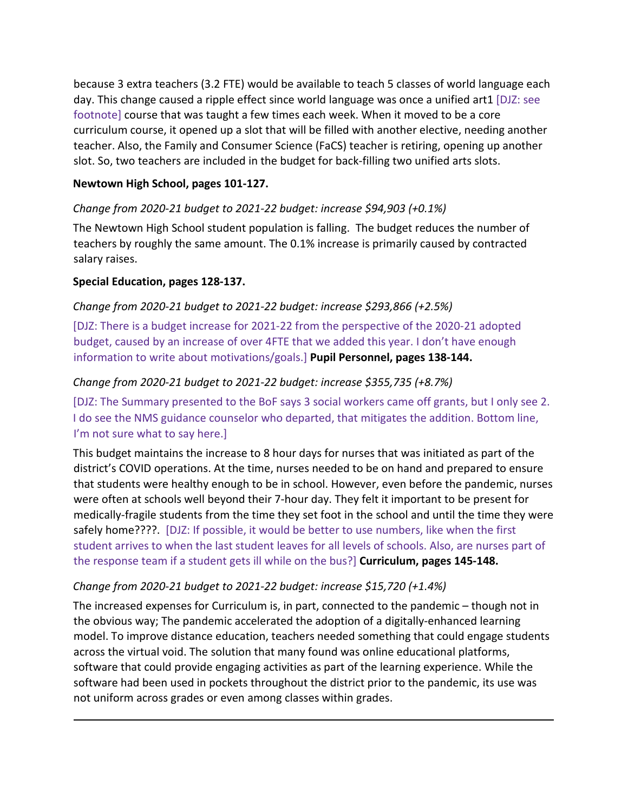because 3 extra teachers (3.2 FTE) would be available to teach 5 classes of world language each day. This change caused a ripple effect since world language was once a unified art1 [DJZ: see footnote] course that was taught a few times each week. When it moved to be a core curriculum course, it opened up a slot that will be filled with another elective, needing another teacher. Also, the Family and Consumer Science (FaCS) teacher is retiring, opening up another slot. So, two teachers are included in the budget for back-filling two unified arts slots.

# **Newtown High School, pages 101-127.**

# *Change from 2020-21 budget to 2021-22 budget: increase \$94,903 (+0.1%)*

The Newtown High School student population is falling. The budget reduces the number of teachers by roughly the same amount. The 0.1% increase is primarily caused by contracted salary raises.

# **Special Education, pages 128-137.**

# *Change from 2020-21 budget to 2021-22 budget: increase \$293,866 (+2.5%)*

[DJZ: There is a budget increase for 2021-22 from the perspective of the 2020-21 adopted budget, caused by an increase of over 4FTE that we added this year. I don't have enough information to write about motivations/goals.] **Pupil Personnel, pages 138-144.**

#### *Change from 2020-21 budget to 2021-22 budget: increase \$355,735 (+8.7%)*

[DJZ: The Summary presented to the BoF says 3 social workers came off grants, but I only see 2. I do see the NMS guidance counselor who departed, that mitigates the addition. Bottom line, I'm not sure what to say here.]

This budget maintains the increase to 8 hour days for nurses that was initiated as part of the district's COVID operations. At the time, nurses needed to be on hand and prepared to ensure that students were healthy enough to be in school. However, even before the pandemic, nurses were often at schools well beyond their 7-hour day. They felt it important to be present for medically-fragile students from the time they set foot in the school and until the time they were safely home????. [DJZ: If possible, it would be better to use numbers, like when the first student arrives to when the last student leaves for all levels of schools. Also, are nurses part of the response team if a student gets ill while on the bus?] **Curriculum, pages 145-148.**

# *Change from 2020-21 budget to 2021-22 budget: increase \$15,720 (+1.4%)*

The increased expenses for Curriculum is, in part, connected to the pandemic – though not in the obvious way; The pandemic accelerated the adoption of a digitally-enhanced learning model. To improve distance education, teachers needed something that could engage students across the virtual void. The solution that many found was online educational platforms, software that could provide engaging activities as part of the learning experience. While the software had been used in pockets throughout the district prior to the pandemic, its use was not uniform across grades or even among classes within grades.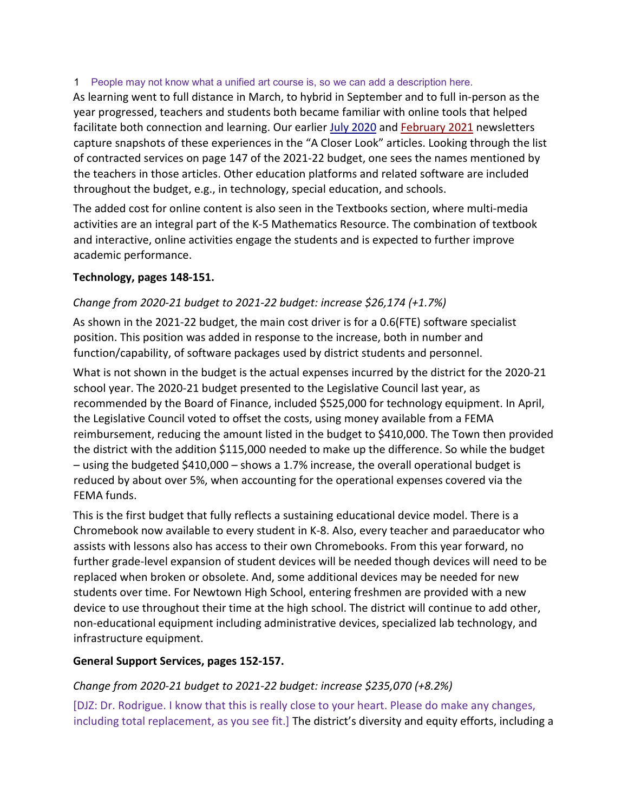# 1 People may not know what a unified art course is, so we can add a description here.

As learning went to full distance in March, to hybrid in September and to full in-person as the year progressed, teachers and students both became familiar with online tools that helped facilitate both connection and learning. Our earlie[r July 2020](http://www.newtown.k12.ct.us/_theme/files/Board%20of%20Education/BOE%20Newsletters/2020-2021/District%20Highlights%207020.pdf) and [February 2021](http://www.newtown.k12.ct.us/_theme/files/Board%20of%20Education/BOE%20Newsletters/2020-2021/District%20Highlights%20Vol%201%20Issue%203_Feb_2021.pdf) newsletters capture snapshots of these experiences in the "A Closer Look" articles. Looking through the list of contracted services on page 147 of the 2021-22 budget, one sees the names mentioned by the teachers in those articles. Other education platforms and related software are included throughout the budget, e.g., in technology, special education, and schools.

The added cost for online content is also seen in the Textbooks section, where multi-media activities are an integral part of the K-5 Mathematics Resource. The combination of textbook and interactive, online activities engage the students and is expected to further improve academic performance.

# **Technology, pages 148-151.**

# *Change from 2020-21 budget to 2021-22 budget: increase \$26,174 (+1.7%)*

As shown in the 2021-22 budget, the main cost driver is for a 0.6(FTE) software specialist position. This position was added in response to the increase, both in number and function/capability, of software packages used by district students and personnel.

What is not shown in the budget is the actual expenses incurred by the district for the 2020-21 school year. The 2020-21 budget presented to the Legislative Council last year, as recommended by the Board of Finance, included \$525,000 for technology equipment. In April, the Legislative Council voted to offset the costs, using money available from a FEMA reimbursement, reducing the amount listed in the budget to \$410,000. The Town then provided the district with the addition \$115,000 needed to make up the difference. So while the budget – using the budgeted \$410,000 – shows a 1.7% increase, the overall operational budget is reduced by about over 5%, when accounting for the operational expenses covered via the FEMA funds.

This is the first budget that fully reflects a sustaining educational device model. There is a Chromebook now available to every student in K-8. Also, every teacher and paraeducator who assists with lessons also has access to their own Chromebooks. From this year forward, no further grade-level expansion of student devices will be needed though devices will need to be replaced when broken or obsolete. And, some additional devices may be needed for new students over time. For Newtown High School, entering freshmen are provided with a new device to use throughout their time at the high school. The district will continue to add other, non-educational equipment including administrative devices, specialized lab technology, and infrastructure equipment.

# **General Support Services, pages 152-157.**

# *Change from 2020-21 budget to 2021-22 budget: increase \$235,070 (+8.2%)*

[DJZ: Dr. Rodrigue. I know that this is really close to your heart. Please do make any changes, including total replacement, as you see fit.] The district's diversity and equity efforts, including a